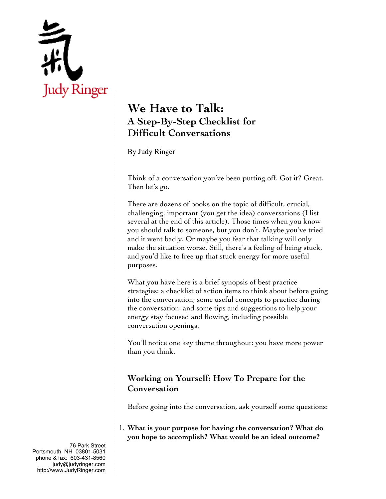

### **We Have to Talk: A Step-By-Step Checklist for Difficult Conversations**

By Judy Ringer

Think of a conversation you've been putting off. Got it? Great. Then let's go.

There are dozens of books on the topic of difficult, crucial, challenging, important (you get the idea) conversations (I list several at the end of this article). Those times when you know you should talk to someone, but you don't. Maybe you've tried and it went badly. Or maybe you fear that talking will only make the situation worse. Still, there's a feeling of being stuck, and you'd like to free up that stuck energy for more useful purposes.

What you have here is a brief synopsis of best practice strategies: a checklist of action items to think about before going into the conversation; some useful concepts to practice during the conversation; and some tips and suggestions to help your energy stay focused and flowing, including possible conversation openings.

You'll notice one key theme throughout: you have more power than you think.

#### **Working on Yourself: How To Prepare for the Conversation**

Before going into the conversation, ask yourself some questions:

1. **What is your purpose for having the conversation? What do you hope to accomplish? What would be an ideal outcome?**

76 Park Street Portsmouth, NH 03801-5031 phone & fax: 603-431-8560 judy@judyringer.com http://www.JudyRinger.com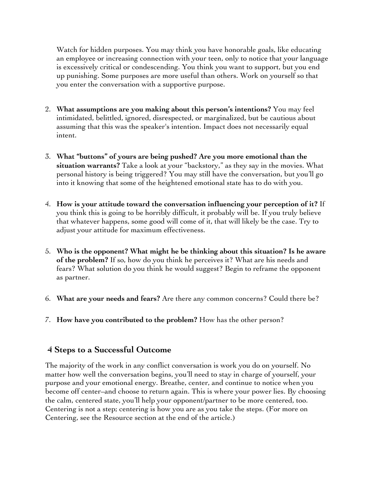Watch for hidden purposes. You may think you have honorable goals, like educating an employee or increasing connection with your teen, only to notice that your language is excessively critical or condescending. You think you want to support, but you end up punishing. Some purposes are more useful than others. Work on yourself so that you enter the conversation with a supportive purpose.

- 2. **What assumptions are you making about this person's intentions?** You may feel intimidated, belittled, ignored, disrespected, or marginalized, but be cautious about assuming that this was the speaker's intention. Impact does not necessarily equal intent.
- 3. **What "buttons" of yours are being pushed? Are you more emotional than the situation warrants?** Take a look at your "backstory," as they say in the movies. What personal history is being triggered? You may still have the conversation, but you'll go into it knowing that some of the heightened emotional state has to do with you.
- 4. **How is your attitude toward the conversation influencing your perception of it?** If you think this is going to be horribly difficult, it probably will be. If you truly believe that whatever happens, some good will come of it, that will likely be the case. Try to adjust your attitude for maximum effectiveness.
- 5. **Who is the opponent? What might he be thinking about this situation? Is he aware of the problem?** If so, how do you think he perceives it? What are his needs and fears? What solution do you think he would suggest? Begin to reframe the opponent as partner.
- 6. **What are your needs and fears?** Are there any common concerns? Could there be?
- 7. **How have you contributed to the problem?** How has the other person?

#### **4 Steps to a Successful Outcome**

The majority of the work in any conflict conversation is work you do on yourself. No matter how well the conversation begins, you'll need to stay in charge of yourself, your purpose and your emotional energy. Breathe, center, and continue to notice when you become off center–and choose to return again. This is where your power lies. By choosing the calm, centered state, you'll help your opponent/partner to be more centered, too. Centering is not a step; centering is how you are as you take the steps. (For more on Centering, see the Resource section at the end of the article.)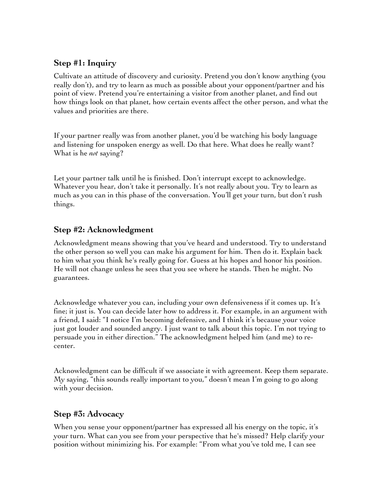#### **Step #1: Inquiry**

Cultivate an attitude of discovery and curiosity. Pretend you don't know anything (you really don't), and try to learn as much as possible about your opponent/partner and his point of view. Pretend you're entertaining a visitor from another planet, and find out how things look on that planet, how certain events affect the other person, and what the values and priorities are there.

If your partner really was from another planet, you'd be watching his body language and listening for unspoken energy as well. Do that here. What does he really want? What is he *not* saying?

Let your partner talk until he is finished. Don't interrupt except to acknowledge. Whatever you hear, don't take it personally. It's not really about you. Try to learn as much as you can in this phase of the conversation. You'll get your turn, but don't rush things.

#### **Step #2: Acknowledgment**

Acknowledgment means showing that you've heard and understood. Try to understand the other person so well you can make his argument for him. Then do it. Explain back to him what you think he's really going for. Guess at his hopes and honor his position. He will not change unless he sees that you see where he stands. Then he might. No guarantees.

Acknowledge whatever you can, including your own defensiveness if it comes up. It's fine; it just is. You can decide later how to address it. For example, in an argument with a friend, I said: "I notice I'm becoming defensive, and I think it's because your voice just got louder and sounded angry. I just want to talk about this topic. I'm not trying to persuade you in either direction." The acknowledgment helped him (and me) to recenter.

Acknowledgment can be difficult if we associate it with agreement. Keep them separate. My saying, "this sounds really important to you," doesn't mean I'm going to go along with your decision.

#### **Step #3: Advocacy**

When you sense your opponent/partner has expressed all his energy on the topic, it's your turn. What can you see from your perspective that he's missed? Help clarify your position without minimizing his. For example: "From what you've told me, I can see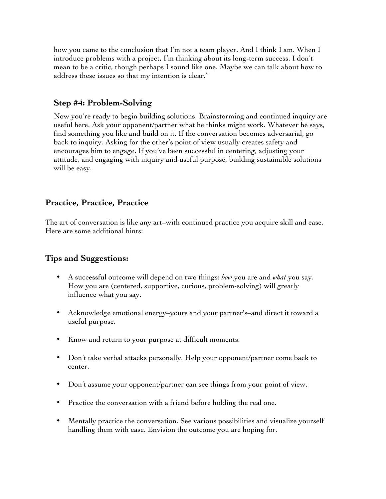how you came to the conclusion that I'm not a team player. And I think I am. When I introduce problems with a project, I'm thinking about its long-term success. I don't mean to be a critic, though perhaps I sound like one. Maybe we can talk about how to address these issues so that my intention is clear."

#### **Step #4: Problem-Solving**

Now you're ready to begin building solutions. Brainstorming and continued inquiry are useful here. Ask your opponent/partner what he thinks might work. Whatever he says, find something you like and build on it. If the conversation becomes adversarial, go back to inquiry. Asking for the other's point of view usually creates safety and encourages him to engage. If you've been successful in centering, adjusting your attitude, and engaging with inquiry and useful purpose, building sustainable solutions will be easy.

#### **Practice, Practice, Practice**

The art of conversation is like any art–with continued practice you acquire skill and ease. Here are some additional hints:

#### **Tips and Suggestions:**

- A successful outcome will depend on two things: *how* you are and *what* you say. How you are (centered, supportive, curious, problem-solving) will greatly influence what you say.
- Acknowledge emotional energy–yours and your partner's–and direct it toward a useful purpose.
- Know and return to your purpose at difficult moments.
- Don't take verbal attacks personally. Help your opponent/partner come back to center.
- Don't assume your opponent/partner can see things from your point of view.
- Practice the conversation with a friend before holding the real one.
- Mentally practice the conversation. See various possibilities and visualize yourself handling them with ease. Envision the outcome you are hoping for.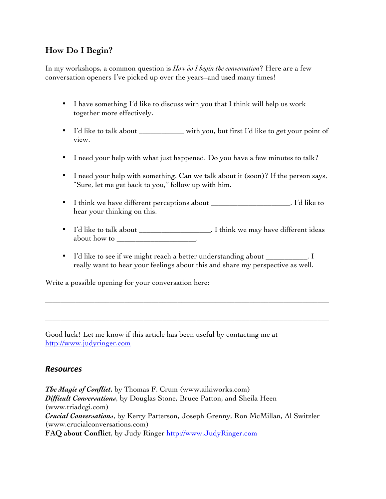#### **How Do I Begin?**

In my workshops, a common question is *How do I begin the conversation*? Here are a few conversation openers I've picked up over the years–and used many times!

- I have something I'd like to discuss with you that I think will help us work together more effectively.
- I'd like to talk about \_\_\_\_\_\_\_\_\_\_\_\_ with you, but first I'd like to get your point of view.
- I need your help with what just happened. Do you have a few minutes to talk?
- I need your help with something. Can we talk about it (soon)? If the person says, "Sure, let me get back to you," follow up with him.
- I think we have different perceptions about \_\_\_\_\_\_\_\_\_\_\_\_\_\_\_\_\_\_\_\_\_. I'd like to hear your thinking on this.
- I'd like to talk about \_\_\_\_\_\_\_\_\_\_\_\_\_\_\_\_\_\_\_. I think we may have different ideas about how to \_\_\_\_\_\_\_\_\_\_\_\_\_\_\_\_\_\_\_\_\_\_\_.
- I'd like to see if we might reach a better understanding about \_\_\_\_\_\_\_\_\_\_. I really want to hear your feelings about this and share my perspective as well.

\_\_\_\_\_\_\_\_\_\_\_\_\_\_\_\_\_\_\_\_\_\_\_\_\_\_\_\_\_\_\_\_\_\_\_\_\_\_\_\_\_\_\_\_\_\_\_\_\_\_\_\_\_\_\_\_\_\_\_\_\_\_\_\_\_\_\_\_\_\_\_\_\_\_\_

\_\_\_\_\_\_\_\_\_\_\_\_\_\_\_\_\_\_\_\_\_\_\_\_\_\_\_\_\_\_\_\_\_\_\_\_\_\_\_\_\_\_\_\_\_\_\_\_\_\_\_\_\_\_\_\_\_\_\_\_\_\_\_\_\_\_\_\_\_\_\_\_\_\_\_

Write a possible opening for your conversation here:

Good luck! Let me know if this article has been useful by contacting me at http://www.judyringer.com

#### *Resources*

*The Magic of Conflict*, by Thomas F. Crum (www.aikiworks.com) *Difficult Conversations*, by Douglas Stone, Bruce Patton, and Sheila Heen (www.triadcgi.com) *Crucial Conversations*, by Kerry Patterson, Joseph Grenny, Ron McMillan, Al Switzler (www.crucialconversations.com) **FAQ about Conflict**, by Judy Ringer http://www.JudyRinger.com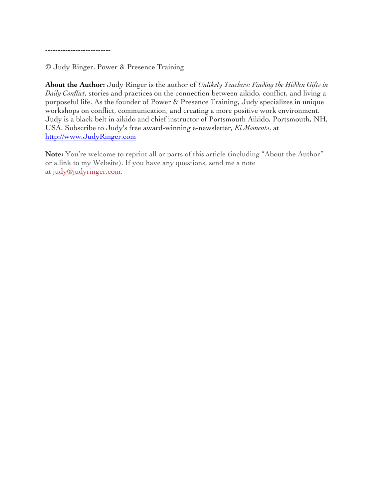--------------------------

© Judy Ringer, Power & Presence Training

**About the Author:** Judy Ringer is the author of *Unlikely Teachers: Finding the Hidden Gifts in Daily Conflict*, stories and practices on the connection between aikido, conflict, and living a purposeful life. As the founder of Power & Presence Training, Judy specializes in unique workshops on conflict, communication, and creating a more positive work environment. Judy is a black belt in aikido and chief instructor of Portsmouth Aikido, Portsmouth, NH, USA. Subscribe to Judy's free award-winning e-newsletter, *Ki Moments*, at http://www.JudyRinger.com

**Note:** You're welcome to reprint all or parts of this article (including "About the Author" or a link to my Website). If you have any questions, send me a note at judy@judyringer.com.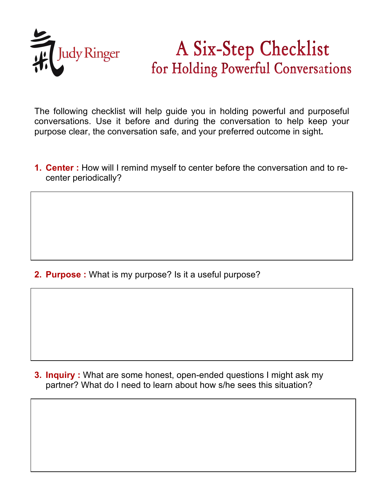

## A Six-Step Checklist for Holding Powerful Conversations

The following checklist will help guide you in holding powerful and purposeful conversations. Use it before and during the conversation to help keep your purpose clear, the conversation safe, and your preferred outcome in sight.

**1. Center** : How will I remind myself to center before the conversation and to recenter periodically?

**2. Purpose** : What is my purpose? Is it a useful purpose?

**3. Inquiry** : What are some honest, open-ended questions I might ask my partner? What do I need to learn about how s/he sees this situation?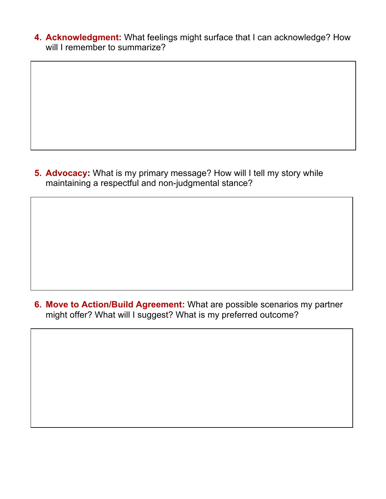**4. Acknowledgment:** What feelings might surface that I can acknowledge? How will I remember to summarize?

**5. Advocacy:** What is my primary message? How will I tell my story while maintaining a respectful and non-judgmental stance?

**6. Move to Action/Build Agreement:** What are possible scenarios my partner might offer? What will I suggest? What is my preferred outcome?